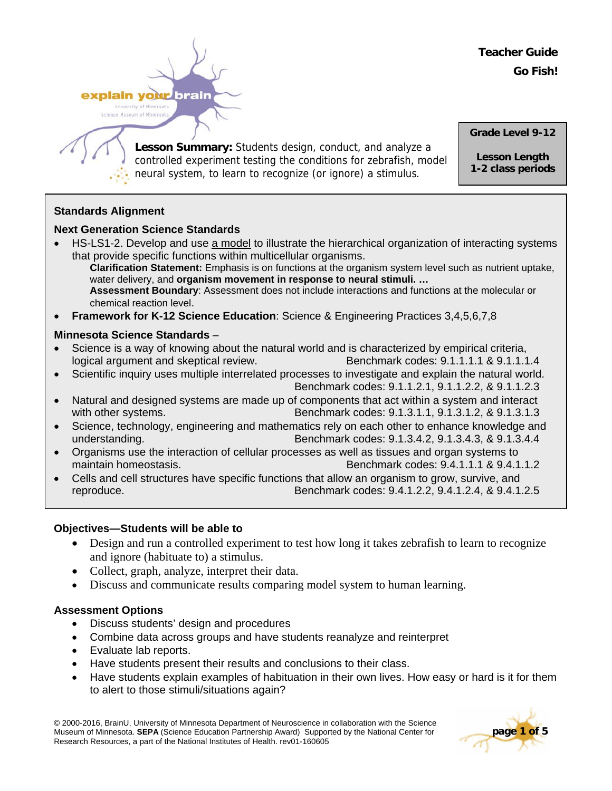**Teacher Guide Go Fish!**

explain your brain University of Minnesota Science Museum of Minneso

> **Lesson Summary:** Students design, conduct, and analyze a controlled experiment testing the conditions for zebrafish, model neural system, to learn to recognize (or ignore) a stimulus*.*

**Grade Level 9-12** 

**Lesson Length 1-2 class periods**

# **Standards Alignment**

# **Next Generation Science Standards**

- HS-LS1-2. Develop and use a model to illustrate the hierarchical organization of interacting systems that provide specific functions within multicellular organisms. **Clarification Statement:** Emphasis is on functions at the organism system level such as nutrient uptake, water delivery, and **organism movement in response to neural stimuli. … Assessment Boundary**: Assessment does not include interactions and functions at the molecular or chemical reaction level.
- **Framework for K-12 Science Education**: Science & Engineering Practices 3,4,5,6,7,8

# **Minnesota Science Standards** –

- Science is a way of knowing about the natural world and is characterized by empirical criteria, logical argument and skeptical review. Benchmark codes: 9.1.1.1.1 & 9.1.1.1.4
- Scientific inquiry uses multiple interrelated processes to investigate and explain the natural world. Benchmark codes: 9.1.1.2.1, 9.1.1.2.2, & 9.1.1.2.3
- Natural and designed systems are made up of components that act within a system and interact with other systems. Benchmark codes: 9.1.3.1.1, 9.1.3.1.2, & 9.1.3.1.3
- Science, technology, engineering and mathematics rely on each other to enhance knowledge and understanding. Benchmark codes: 9.1.3.4.2, 9.1.3.4.3, & 9.1.3.4.4
- Organisms use the interaction of cellular processes as well as tissues and organ systems to maintain homeostasis. Benchmark codes: 9.4.1.1.1 & 9.4.1.1.2
- Cells and cell structures have specific functions that allow an organism to grow, survive, and reproduce. Benchmark codes: 9.4.1.2.2, 9.4.1.2.4, & 9.4.1.2.5

## **Objectives—Students will be able to**

- Design and run a controlled experiment to test how long it takes zebrafish to learn to recognize and ignore (habituate to) a stimulus.
- Collect, graph, analyze, interpret their data.
- Discuss and communicate results comparing model system to human learning.

## **Assessment Options**

- Discuss students' design and procedures
- Combine data across groups and have students reanalyze and reinterpret
- Evaluate lab reports.
- Have students present their results and conclusions to their class.
- Have students explain examples of habituation in their own lives. How easy or hard is it for them to alert to those stimuli/situations again?

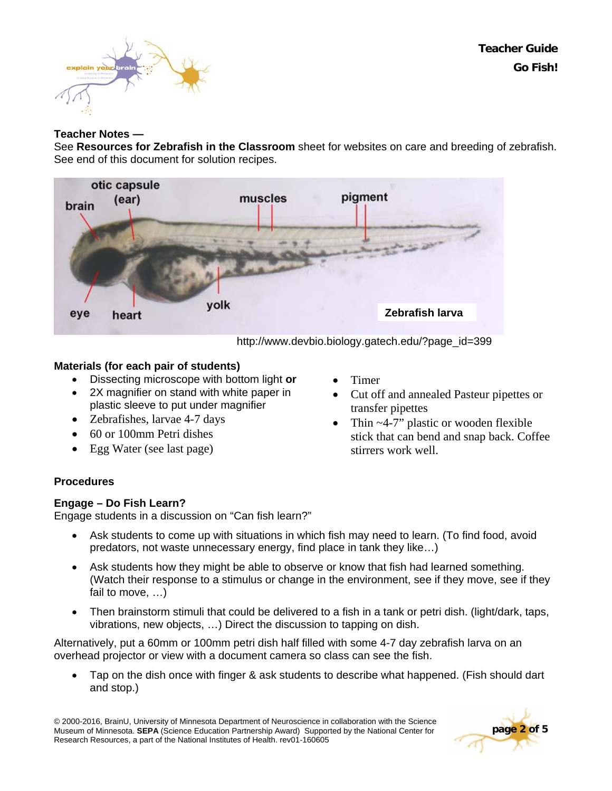



### **Teacher Notes —**

See **Resources for Zebrafish in the Classroom** sheet for websites on care and breeding of zebrafish. See end of this document for solution recipes.



http://www.devbio.biology.gatech.edu/?page\_id=399

#### **Materials (for each pair of students)**

- Dissecting microscope with bottom light **or**
- 2X magnifier on stand with white paper in plastic sleeve to put under magnifier
- Zebrafishes, larvae 4-7 days
- 60 or 100mm Petri dishes
- Egg Water (see last page)
- Timer
- Cut off and annealed Pasteur pipettes or transfer pipettes
- Thin ~4-7" plastic or wooden flexible stick that can bend and snap back. Coffee stirrers work well.

### **Procedures**

### **Engage – Do Fish Learn?**

Engage students in a discussion on "Can fish learn?"

- Ask students to come up with situations in which fish may need to learn. (To find food, avoid predators, not waste unnecessary energy, find place in tank they like…)
- Ask students how they might be able to observe or know that fish had learned something. (Watch their response to a stimulus or change in the environment, see if they move, see if they fail to move, …)
- Then brainstorm stimuli that could be delivered to a fish in a tank or petri dish. (light/dark, taps, vibrations, new objects, …) Direct the discussion to tapping on dish.

Alternatively, put a 60mm or 100mm petri dish half filled with some 4-7 day zebrafish larva on an overhead projector or view with a document camera so class can see the fish.

• Tap on the dish once with finger & ask students to describe what happened. (Fish should dart and stop.)

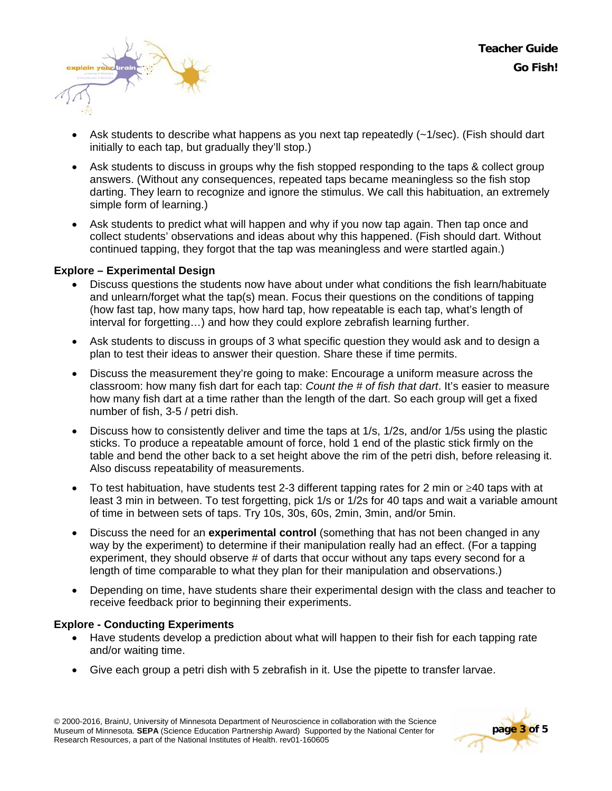

- Ask students to describe what happens as you next tap repeatedly (~1/sec). (Fish should dart initially to each tap, but gradually they'll stop.)
- Ask students to discuss in groups why the fish stopped responding to the taps & collect group answers. (Without any consequences, repeated taps became meaningless so the fish stop darting. They learn to recognize and ignore the stimulus. We call this habituation, an extremely simple form of learning.)
- Ask students to predict what will happen and why if you now tap again. Then tap once and collect students' observations and ideas about why this happened. (Fish should dart. Without continued tapping, they forgot that the tap was meaningless and were startled again.)

### **Explore – Experimental Design**

- Discuss questions the students now have about under what conditions the fish learn/habituate and unlearn/forget what the tap(s) mean. Focus their questions on the conditions of tapping (how fast tap, how many taps, how hard tap, how repeatable is each tap, what's length of interval for forgetting…) and how they could explore zebrafish learning further.
- Ask students to discuss in groups of 3 what specific question they would ask and to design a plan to test their ideas to answer their question. Share these if time permits.
- Discuss the measurement they're going to make: Encourage a uniform measure across the classroom: how many fish dart for each tap: *Count the # of fish that dart*. It's easier to measure how many fish dart at a time rather than the length of the dart. So each group will get a fixed number of fish, 3-5 / petri dish.
- Discuss how to consistently deliver and time the taps at 1/s, 1/2s, and/or 1/5s using the plastic sticks. To produce a repeatable amount of force, hold 1 end of the plastic stick firmly on the table and bend the other back to a set height above the rim of the petri dish, before releasing it. Also discuss repeatability of measurements.
- To test habituation, have students test 2-3 different tapping rates for 2 min or ≥40 taps with at least 3 min in between. To test forgetting, pick 1/s or 1/2s for 40 taps and wait a variable amount of time in between sets of taps. Try 10s, 30s, 60s, 2min, 3min, and/or 5min.
- Discuss the need for an **experimental control** (something that has not been changed in any way by the experiment) to determine if their manipulation really had an effect. (For a tapping experiment, they should observe # of darts that occur without any taps every second for a length of time comparable to what they plan for their manipulation and observations.)
- Depending on time, have students share their experimental design with the class and teacher to receive feedback prior to beginning their experiments.

### **Explore - Conducting Experiments**

- Have students develop a prediction about what will happen to their fish for each tapping rate and/or waiting time.
- Give each group a petri dish with 5 zebrafish in it. Use the pipette to transfer larvae.

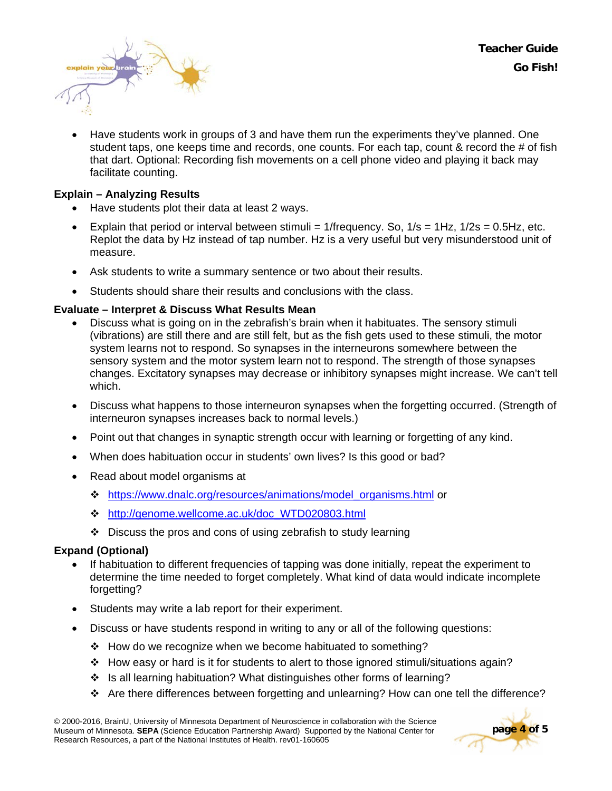

• Have students work in groups of 3 and have them run the experiments they've planned. One student taps, one keeps time and records, one counts. For each tap, count & record the # of fish that dart. Optional: Recording fish movements on a cell phone video and playing it back may facilitate counting.

### **Explain – Analyzing Results**

- Have students plot their data at least 2 ways.
- Explain that period or interval between stimuli =  $1$ /frequency. So,  $1/s = 1 Hz$ ,  $1/2s = 0.5 Hz$ , etc. Replot the data by Hz instead of tap number. Hz is a very useful but very misunderstood unit of measure.
- Ask students to write a summary sentence or two about their results.
- Students should share their results and conclusions with the class.

### **Evaluate – Interpret & Discuss What Results Mean**

- Discuss what is going on in the zebrafish's brain when it habituates. The sensory stimuli (vibrations) are still there and are still felt, but as the fish gets used to these stimuli, the motor system learns not to respond. So synapses in the interneurons somewhere between the sensory system and the motor system learn not to respond. The strength of those synapses changes. Excitatory synapses may decrease or inhibitory synapses might increase. We can't tell which.
- Discuss what happens to those interneuron synapses when the forgetting occurred. (Strength of interneuron synapses increases back to normal levels.)
- Point out that changes in synaptic strength occur with learning or forgetting of any kind.
- When does habituation occur in students' own lives? Is this good or bad?
- Read about model organisms at
	- [https://www.dnalc.org/resources/animations/model\\_organisms.html](https://www.dnalc.org/resources/animations/model_organisms.html) or
	- [http://genome.wellcome.ac.uk/doc\\_WTD020803.html](http://genome.wellcome.ac.uk/doc_WTD020803.html)
	- Discuss the pros and cons of using zebrafish to study learning

### **Expand (Optional)**

- If habituation to different frequencies of tapping was done initially, repeat the experiment to determine the time needed to forget completely. What kind of data would indicate incomplete forgetting?
- Students may write a lab report for their experiment.
- Discuss or have students respond in writing to any or all of the following questions:
	- ❖ How do we recognize when we become habituated to something?
	- How easy or hard is it for students to alert to those ignored stimuli/situations again?
	- $\cdot$  Is all learning habituation? What distinguishes other forms of learning?
	- Are there differences between forgetting and unlearning? How can one tell the difference?